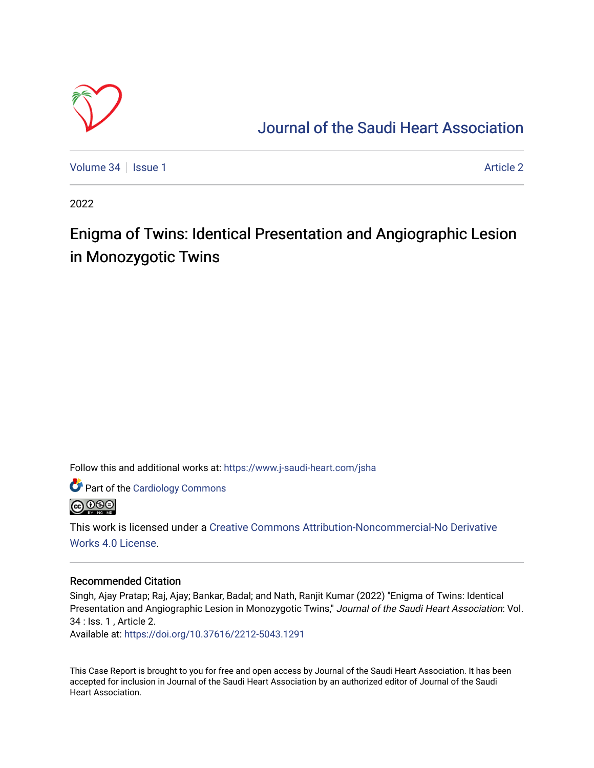

# [Journal of the Saudi Heart Association](https://www.j-saudi-heart.com/jsha)

[Volume 34](https://www.j-saudi-heart.com/jsha/vol34) | [Issue 1](https://www.j-saudi-heart.com/jsha/vol34/iss1) [Article 2](https://www.j-saudi-heart.com/jsha/vol34/iss1/2) Article 2 Article 2 Article 2 Article 2 Article 2 Article 2 Article 2 Article 2

2022

# Enigma of Twins: Identical Presentation and Angiographic Lesion in Monozygotic Twins

Follow this and additional works at: [https://www.j-saudi-heart.com/jsha](https://www.j-saudi-heart.com/jsha?utm_source=www.j-saudi-heart.com%2Fjsha%2Fvol34%2Fiss1%2F2&utm_medium=PDF&utm_campaign=PDFCoverPages) 

Part of the [Cardiology Commons](http://network.bepress.com/hgg/discipline/683?utm_source=www.j-saudi-heart.com%2Fjsha%2Fvol34%2Fiss1%2F2&utm_medium=PDF&utm_campaign=PDFCoverPages)



This work is licensed under a [Creative Commons Attribution-Noncommercial-No Derivative](http://creativecommons.org/licenses/by-nc-nd/4.0/)  [Works 4.0 License](http://creativecommons.org/licenses/by-nc-nd/4.0/).

## Recommended Citation

Singh, Ajay Pratap; Raj, Ajay; Bankar, Badal; and Nath, Ranjit Kumar (2022) "Enigma of Twins: Identical Presentation and Angiographic Lesion in Monozygotic Twins," Journal of the Saudi Heart Association: Vol. 34 : Iss. 1 , Article 2.

Available at:<https://doi.org/10.37616/2212-5043.1291>

This Case Report is brought to you for free and open access by Journal of the Saudi Heart Association. It has been accepted for inclusion in Journal of the Saudi Heart Association by an authorized editor of Journal of the Saudi Heart Association.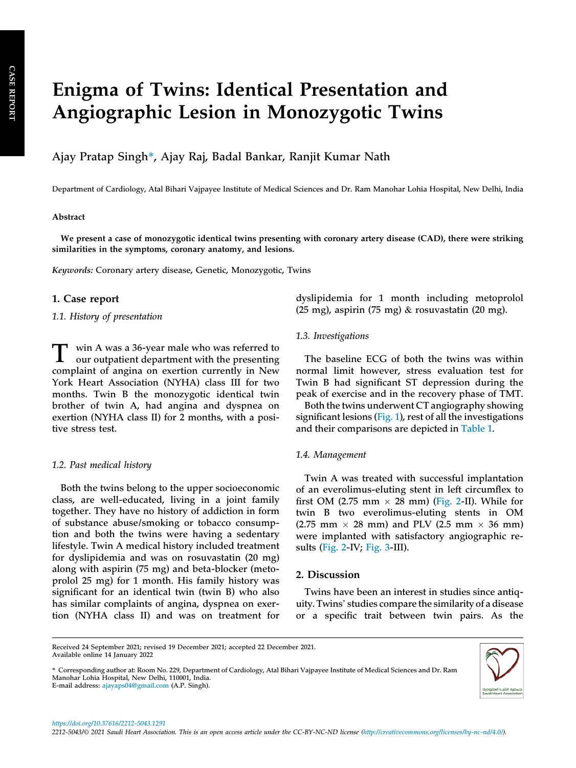# Enigma of Twins: Identical Presentation and Angiographic Lesion in Monozygotic Twins

Ajay Pratap Singh\*, Ajay Raj, Badal Bankar, Ranjit Kumar Nath

Department of Cardiology, Atal Bihari Vajpayee Institute of Medical Sciences and Dr. Ram Manohar Lohia Hospital, New Delhi, India

#### Abstract

We present a case of monozygotic identical twins presenting with coronary artery disease (CAD), there were striking similarities in the symptoms, coronary anatomy, and lesions.

Keywords: Coronary artery disease, Genetic, Monozygotic, Twins

#### 1. Case report

1.1. History of presentation

T win A was a 36-year male who was referred to our outpatient department with the presenting complaint of angina on exertion currently in New York Heart Association (NYHA) class III for two months. Twin B the monozygotic identical twin brother of twin A, had angina and dyspnea on exertion (NYHA class II) for 2 months, with a positive stress test.

#### 1.2. Past medical history

Both the twins belong to the upper socioeconomic class, are well-educated, living in a joint family together. They have no history of addiction in form of substance abuse/smoking or tobacco consumption and both the twins were having a sedentary lifestyle. Twin A medical history included treatment for dyslipidemia and was on rosuvastatin (20 mg) along with aspirin (75 mg) and beta-blocker (metoprolol 25 mg) for 1 month. His family history was significant for an identical twin (twin B) who also has similar complaints of angina, dyspnea on exertion (NYHA class II) and was on treatment for

dyslipidemia for 1 month including metoprolol (25 mg), aspirin (75 mg) & rosuvastatin (20 mg).

#### 1.3. Investigations

The baseline ECG of both the twins was within normal limit however, stress evaluation test for Twin B had significant ST depression during the peak of exercise and in the recovery phase of TMT.

Both the twins underwent CT angiography showing significant lesions [\(Fig. 1](#page-2-0)), rest of all the investigations and their comparisons are depicted in [Table 1](#page-3-0).

#### 1.4. Management

Twin A was treated with successful implantation of an everolimus-eluting stent in left circumflex to first OM (2.75 mm  $\times$  28 mm) [\(Fig. 2-](#page-3-1)II). While for twin B two everolimus-eluting stents in OM  $(2.75 \text{ mm} \times 28 \text{ mm})$  and PLV  $(2.5 \text{ mm} \times 36 \text{ mm})$ were implanted with satisfactory angiographic results ([Fig. 2](#page-3-1)-IV; [Fig. 3](#page-4-0)-III).

### 2. Discussion

Twins have been an interest in studies since antiquity. Twins' studies compare the similarity of a disease or a specific trait between twin pairs. As the

<sup>\*</sup> Corresponding author at: Room No. 229, Department of Cardiology, Atal Bihari Vajpayee Institute of Medical Sciences and Dr. Ram Manohar Lohia Hospital, New Delhi, 110001, India. E-mail address: [ajayaps04@gmail.com](mailto:ajayaps04@gmail.com) (A.P. Singh).



Received 24 September 2021; revised 19 December 2021; accepted 22 December 2021. Available online 14 January 2022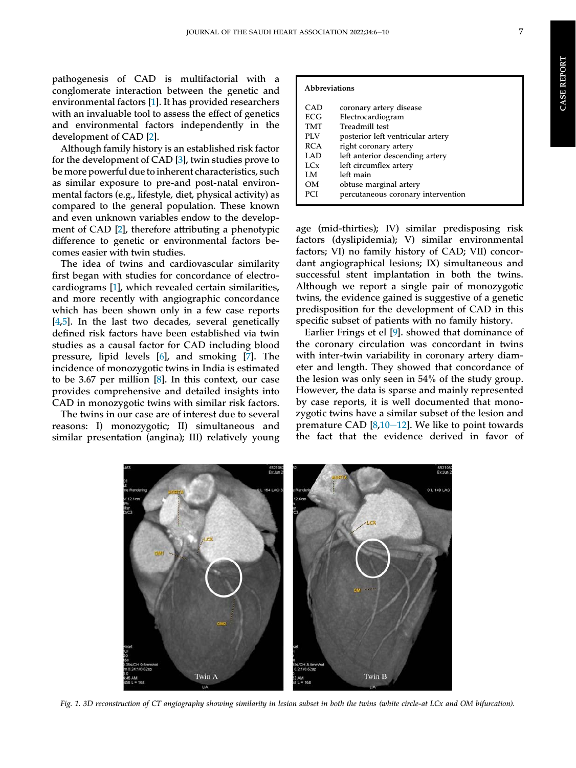pathogenesis of CAD is multifactorial with a conglomerate interaction between the genetic and environmental factors [\[1](#page-4-1)]. It has provided researchers with an invaluable tool to assess the effect of genetics and environmental factors independently in the development of CAD [\[2](#page-5-0)].

Although family history is an established risk factor for the development of CAD [\[3](#page-5-1)], twin studies prove to be more powerful due to inherent characteristics, such as similar exposure to pre-and post-natal environmental factors (e.g., lifestyle, diet, physical activity) as compared to the general population. These known and even unknown variables endow to the development of CAD [[2\]](#page-5-0), therefore attributing a phenotypic difference to genetic or environmental factors becomes easier with twin studies.

The idea of twins and cardiovascular similarity first began with studies for concordance of electrocardiograms [\[1](#page-4-1)], which revealed certain similarities, and more recently with angiographic concordance which has been shown only in a few case reports [\[4](#page-5-2),[5\]](#page-5-3). In the last two decades, several genetically defined risk factors have been established via twin studies as a causal factor for CAD including blood pressure, lipid levels [[6\]](#page-5-4), and smoking [\[7](#page-5-5)]. The incidence of monozygotic twins in India is estimated to be 3.67 per million [\[8](#page-5-6)]. In this context, our case provides comprehensive and detailed insights into CAD in monozygotic twins with similar risk factors.

<span id="page-2-0"></span>The twins in our case are of interest due to several reasons: I) monozygotic; II) simultaneous and similar presentation (angina); III) relatively young

|  | Abbreviations |
|--|---------------|
|--|---------------|

| CAD             | coronary artery disease            |
|-----------------|------------------------------------|
| ECG.            | Electrocardiogram                  |
| TMT             | Treadmill test                     |
| PLV             | posterior left ventricular artery  |
| <b>RCA</b>      | right coronary artery              |
| LAD             | left anterior descending artery    |
| LC <sub>x</sub> | left circumflex artery             |
| LM              | left main                          |
| OМ              | obtuse marginal artery             |
| PCI             | percutaneous coronary intervention |
|                 |                                    |

age (mid-thirties); IV) similar predisposing risk factors (dyslipidemia); V) similar environmental factors; VI) no family history of CAD; VII) concordant angiographical lesions; IX) simultaneous and successful stent implantation in both the twins. Although we report a single pair of monozygotic twins, the evidence gained is suggestive of a genetic predisposition for the development of CAD in this specific subset of patients with no family history.

Earlier Frings et el [\[9](#page-5-7)]. showed that dominance of the coronary circulation was concordant in twins with inter-twin variability in coronary artery diameter and length. They showed that concordance of the lesion was only seen in 54% of the study group. However, the data is sparse and mainly represented by case reports, it is well documented that monozygotic twins have a similar subset of the lesion and premature CAD  $[8,10-12]$  $[8,10-12]$  $[8,10-12]$  $[8,10-12]$  $[8,10-12]$ . We like to point towards the fact that the evidence derived in favor of



Fig. 1. 3D reconstruction of CT angiography showing similarity in lesion subset in both the twins (white circle-at LCx and OM bifurcation).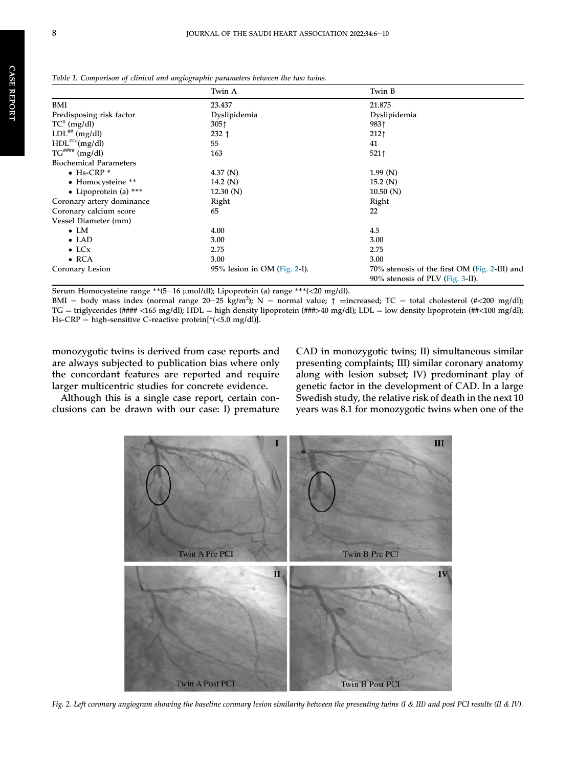|                               | Twin A                          | Twin B                                                                            |
|-------------------------------|---------------------------------|-----------------------------------------------------------------------------------|
| BMI                           | 23.437                          | 21.875                                                                            |
| Predisposing risk factor      | Dyslipidemia                    | Dyslipidemia                                                                      |
| $TC^{\#}$ (mg/dl)             | 305 <sub>1</sub>                | 9831                                                                              |
| $LDL***$ (mg/dl)              | $232 \uparrow$                  | 212 <sub>1</sub>                                                                  |
| $HDL^{***}(mg/dl)$            | 55                              | 41                                                                                |
| $TG$ <sup>####</sup> (mg/dl)  | 163                             | $521$ <sup>↑</sup>                                                                |
| <b>Biochemical Parameters</b> |                                 |                                                                                   |
| $\bullet$ Hs-CRP $*$          | 4.37 $(N)$                      | 1.99(N)                                                                           |
| • Homocysteine **             | 14.2 $(N)$                      | 15.2(N)                                                                           |
| $\bullet$ Lipoprotein (a) *** | 12.30(N)                        | 10.50(N)                                                                          |
| Coronary artery dominance     | Right                           | Right                                                                             |
| Coronary calcium score        | 65                              | 22                                                                                |
| Vessel Diameter (mm)          |                                 |                                                                                   |
| $\bullet$ LM                  | 4.00                            | 4.5                                                                               |
| $\bullet$ LAD                 | 3.00                            | 3.00                                                                              |
| $\bullet$ LC <sub>x</sub>     | 2.75                            | 2.75                                                                              |
| $\bullet$ RCA                 | 3.00                            | 3.00                                                                              |
| Coronary Lesion               | $95\%$ lesion in OM (Fig. 2-I). | 70% stenosis of the first OM (Fig. 2-III) and<br>90% stenosis of PLV (Fig. 3-II). |

<span id="page-3-0"></span>Table 1. Comparison of clinical and angiographic parameters between the two twins.

Serum Homocysteine range \*\* (5-16 µmol/dl); Lipoprotein (a) range \*\*\* (< 20 mg/dl).

BMI = body mass index (normal range 20-25 kg/m<sup>2</sup>); N = normal value;  $\uparrow$  =increased; TC = total cholesterol (#<200 mg/dl); TG = triglycerides (#### <165 mg/dl); HDL = high density lipoprotein (## $\geq$ 40 mg/dl); LDL = low density lipoprotein (##<100 mg/dl); Hs-CRP = high-sensitive C-reactive protein[ $*(<5.0$  mg/dl)].

monozygotic twins is derived from case reports and are always subjected to publication bias where only the concordant features are reported and require larger multicentric studies for concrete evidence.

<span id="page-3-1"></span>Although this is a single case report, certain conclusions can be drawn with our case: I) premature CAD in monozygotic twins; II) simultaneous similar presenting complaints; III) similar coronary anatomy along with lesion subset; IV) predominant play of genetic factor in the development of CAD. In a large Swedish study, the relative risk of death in the next 10 years was 8.1 for monozygotic twins when one of the



Fig. 2. Left coronary angiogram showing the baseline coronary lesion similarity between the presenting twins (I & III) and post PCI results (II & IV).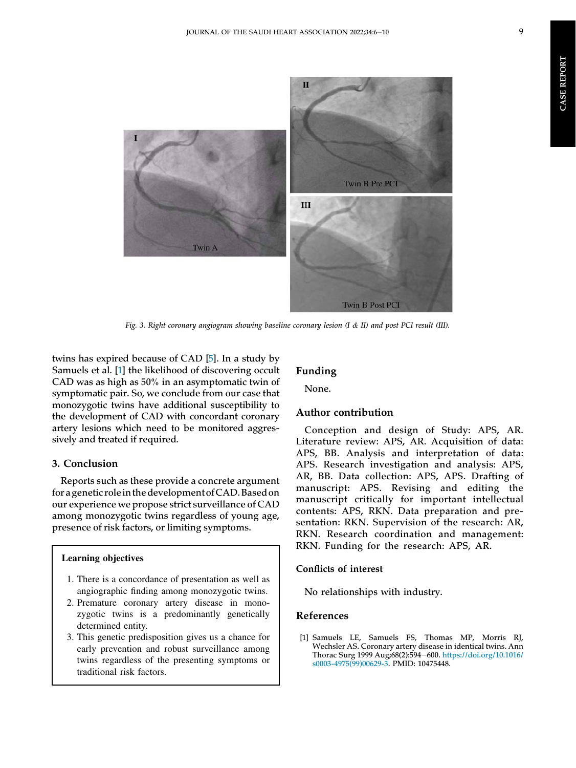<span id="page-4-0"></span>

Fig. 3. Right coronary angiogram showing baseline coronary lesion (I & II) and post PCI result (III).

twins has expired because of CAD [[5\]](#page-5-3). In a study by Samuels et al. [[1\]](#page-4-1) the likelihood of discovering occult CAD was as high as 50% in an asymptomatic twin of symptomatic pair. So, we conclude from our case that monozygotic twins have additional susceptibility to the development of CAD with concordant coronary artery lesions which need to be monitored aggressively and treated if required.

### 3. Conclusion

Reports such as these provide a concrete argument for a genetic role in the development of CAD. Based on our experience we propose strict surveillance of CAD among monozygotic twins regardless of young age, presence of risk factors, or limiting symptoms.

# Learning objectives

- 1. There is a concordance of presentation as well as angiographic finding among monozygotic twins.
- 2. Premature coronary artery disease in monozygotic twins is a predominantly genetically determined entity.
- 3. This genetic predisposition gives us a chance for early prevention and robust surveillance among twins regardless of the presenting symptoms or traditional risk factors.

#### Funding

None.

## Author contribution

Conception and design of Study: APS, AR. Literature review: APS, AR. Acquisition of data: APS, BB. Analysis and interpretation of data: APS. Research investigation and analysis: APS, AR, BB. Data collection: APS, APS. Drafting of manuscript: APS. Revising and editing the manuscript critically for important intellectual contents: APS, RKN. Data preparation and presentation: RKN. Supervision of the research: AR, RKN. Research coordination and management: RKN. Funding for the research: APS, AR.

#### Conflicts of interest

No relationships with industry.

#### References

<span id="page-4-1"></span>[1] Samuels LE, Samuels FS, Thomas MP, Morris RJ, Wechsler AS. Coronary artery disease in identical twins. Ann Thorac Surg 1999 Aug;68(2):594-600. [https://doi.org/10.1016/](https://doi.org/10.1016/s0003-4975(99)00629-3) [s0003-4975\(99\)00629-3](https://doi.org/10.1016/s0003-4975(99)00629-3). PMID: 10475448.